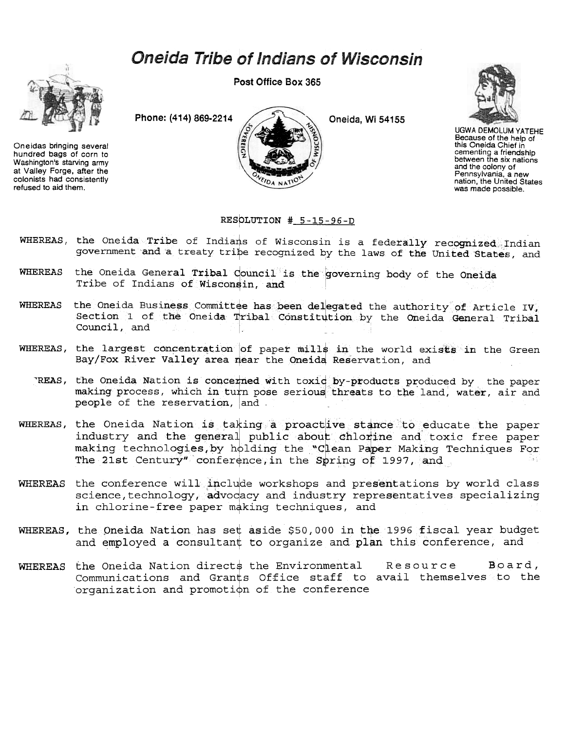## **Oneida Tribe of Indians of Wisconsin**

Post Office Box 365



Oneidas bringing several hundred bags of corn to Washington's starving army at Valley Forge, after the colonists had consistently refused to aid them.



Oneida, Wi 54155



**UGWA DEMOLUM YATEHE** Because of the help of this Oneida Chief in cementing a friendship<br>between the six nations and the colony of Pennsylvania, a new nation, the United States was made possible.

## RESOLUTION #  $5-15-96-D$

- WHEREAS, the Oneida Tribe of Indians of Wisconsin is a federally recognized Indian government and a treaty tribe recognized by the laws of the United States, and
- WHEREAS the Oneida General Tribal Council is the governing body of the Oneida Tribe of Indians of Wisconsin, and
- the Oneida Business Committee has been delegated the authority of Article IV, **WHEREAS** Section 1 of the Oneida Tribal Constitution by the Oneida General Tribal Council, and
- WHEREAS, the largest concentration of paper mills in the world exists in the Green Bay/Fox River Valley area near the Oneida Reservation, and
	- REAS, the Oneida Nation is concerned with toxid by-products produced by the paper making process, which in turn pose serious threats to the land, water, air and people of the reservation, and
- WHEREAS, the Oneida Nation is taking a proactive stance to educate the paper industry and the general public about chlorine and toxic free paper making technologies, by holding the "Clean Paper Making Techniques For The 21st Century" conference, in the Spring of 1997, and
- WHEREAS the conference will include workshops and presentations by world class science, technology, advocacy and industry representatives specializing in chlorine-free paper making techniques, and
- WHEREAS, the Oneida Nation has set aside \$50,000 in the 1996 fiscal year budget and employed a consultant to organize and plan this conference, and
- WHEREAS the Oneida Nation directs the Environmental Resource  $Board$ , Communications and Grants Office staff to avail themselves to the organization and promotion of the conference